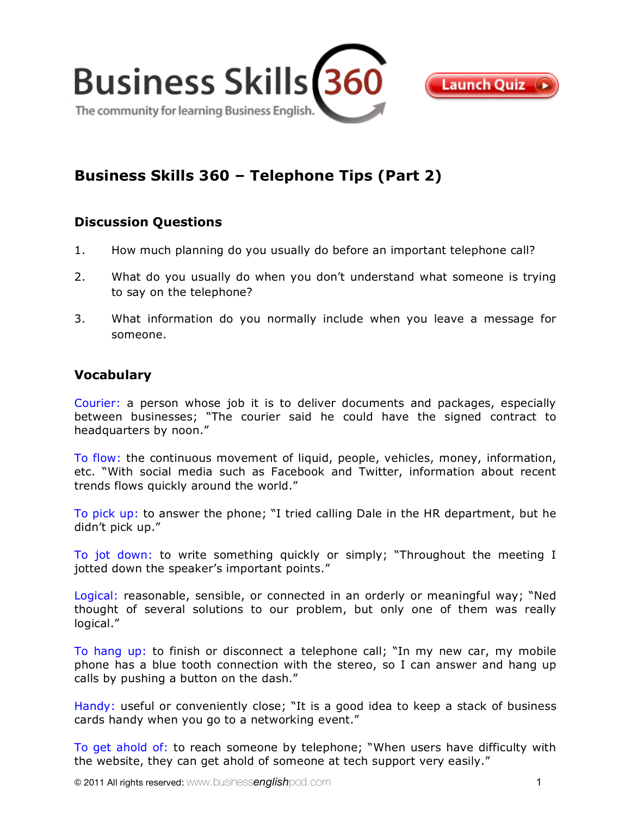

# **Business Skills 360 – Telephone Tips (Part 2)**

## **Discussion Questions**

- 1. How much planning do you usually do before an important telephone call?
- 2. What do you usually do when you don't understand what someone is trying to say on the telephone?
- 3. What information do you normally include when you leave a message for someone.

## **Vocabulary**

Courier: a person whose job it is to deliver documents and packages, especially between businesses; "The courier said he could have the signed contract to headquarters by noon."

To flow: the continuous movement of liquid, people, vehicles, money, information, etc. "With social media such as Facebook and Twitter, information about recent trends flows quickly around the world."

To pick up: to answer the phone; "I tried calling Dale in the HR department, but he didn't pick up."

To jot down: to write something quickly or simply; "Throughout the meeting I jotted down the speaker's important points."

Logical: reasonable, sensible, or connected in an orderly or meaningful way; "Ned thought of several solutions to our problem, but only one of them was really logical."

To hang up: to finish or disconnect a telephone call; "In my new car, my mobile phone has a blue tooth connection with the stereo, so I can answer and hang up calls by pushing a button on the dash."

Handy: useful or conveniently close; "It is a good idea to keep a stack of business cards handy when you go to a networking event."

To get ahold of: to reach someone by telephone; "When users have difficulty with the website, they can get ahold of someone at tech support very easily."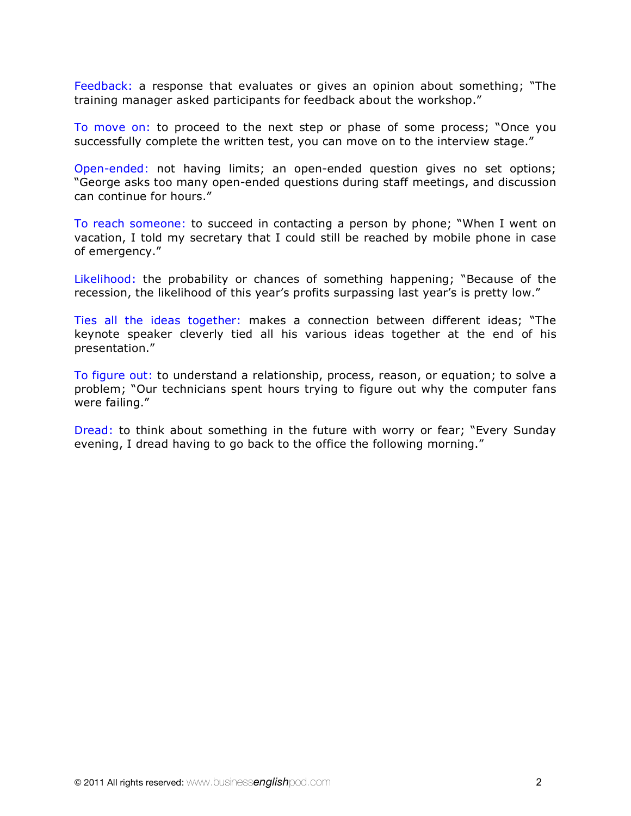Feedback: a response that evaluates or gives an opinion about something; "The training manager asked participants for feedback about the workshop."

To move on: to proceed to the next step or phase of some process; "Once you successfully complete the written test, you can move on to the interview stage."

Open-ended: not having limits; an open-ended question gives no set options; "George asks too many open-ended questions during staff meetings, and discussion can continue for hours."

To reach someone: to succeed in contacting a person by phone; "When I went on vacation, I told my secretary that I could still be reached by mobile phone in case of emergency."

Likelihood: the probability or chances of something happening; "Because of the recession, the likelihood of this year's profits surpassing last year's is pretty low."

Ties all the ideas together: makes a connection between different ideas; "The keynote speaker cleverly tied all his various ideas together at the end of his presentation."

To figure out: to understand a relationship, process, reason, or equation; to solve a problem; "Our technicians spent hours trying to figure out why the computer fans were failing."

Dread: to think about something in the future with worry or fear; "Every Sunday evening, I dread having to go back to the office the following morning."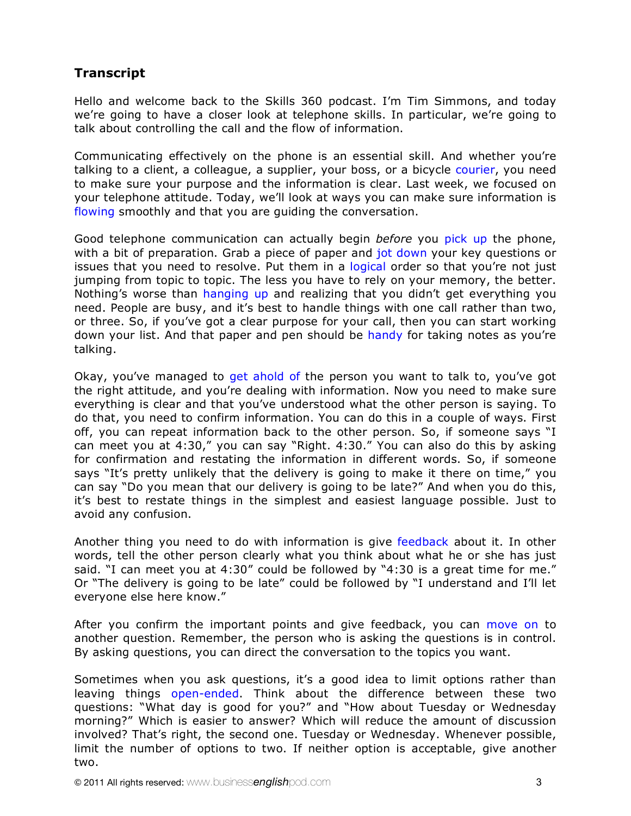# **Transcript**

Hello and welcome back to the Skills 360 podcast. I'm Tim Simmons, and today we're going to have a closer look at telephone skills. In particular, we're going to talk about controlling the call and the flow of information.

Communicating effectively on the phone is an essential skill. And whether you're talking to a client, a colleague, a supplier, your boss, or a bicycle courier, you need to make sure your purpose and the information is clear. Last week, we focused on your telephone attitude. Today, we'll look at ways you can make sure information is flowing smoothly and that you are guiding the conversation.

Good telephone communication can actually begin *before* you pick up the phone, with a bit of preparation. Grab a piece of paper and jot down your key questions or issues that you need to resolve. Put them in a logical order so that you're not just jumping from topic to topic. The less you have to rely on your memory, the better. Nothing's worse than hanging up and realizing that you didn't get everything you need. People are busy, and it's best to handle things with one call rather than two, or three. So, if you've got a clear purpose for your call, then you can start working down your list. And that paper and pen should be handy for taking notes as you're talking.

Okay, you've managed to get ahold of the person you want to talk to, you've got the right attitude, and you're dealing with information. Now you need to make sure everything is clear and that you've understood what the other person is saying. To do that, you need to confirm information. You can do this in a couple of ways. First off, you can repeat information back to the other person. So, if someone says "I can meet you at 4:30," you can say "Right. 4:30." You can also do this by asking for confirmation and restating the information in different words. So, if someone says "It's pretty unlikely that the delivery is going to make it there on time," you can say "Do you mean that our delivery is going to be late?" And when you do this, it's best to restate things in the simplest and easiest language possible. Just to avoid any confusion.

Another thing you need to do with information is give feedback about it. In other words, tell the other person clearly what you think about what he or she has just said. "I can meet you at 4:30" could be followed by "4:30 is a great time for me." Or "The delivery is going to be late" could be followed by "I understand and I'll let everyone else here know."

After you confirm the important points and give feedback, you can move on to another question. Remember, the person who is asking the questions is in control. By asking questions, you can direct the conversation to the topics you want.

Sometimes when you ask questions, it's a good idea to limit options rather than leaving things open-ended. Think about the difference between these two questions: "What day is good for you?" and "How about Tuesday or Wednesday morning?" Which is easier to answer? Which will reduce the amount of discussion involved? That's right, the second one. Tuesday or Wednesday. Whenever possible, limit the number of options to two. If neither option is acceptable, give another two.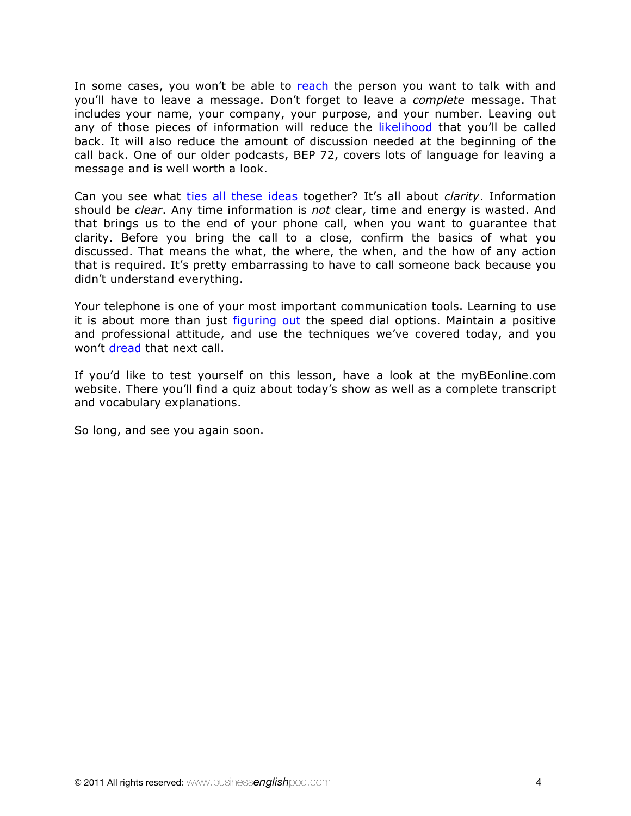In some cases, you won't be able to reach the person you want to talk with and you'll have to leave a message. Don't forget to leave a *complete* message. That includes your name, your company, your purpose, and your number. Leaving out any of those pieces of information will reduce the likelihood that you'll be called back. It will also reduce the amount of discussion needed at the beginning of the call back. One of our older podcasts, BEP 72, covers lots of language for leaving a message and is well worth a look.

Can you see what ties all these ideas together? It's all about *clarity*. Information should be *clear*. Any time information is *not* clear, time and energy is wasted. And that brings us to the end of your phone call, when you want to guarantee that clarity. Before you bring the call to a close, confirm the basics of what you discussed. That means the what, the where, the when, and the how of any action that is required. It's pretty embarrassing to have to call someone back because you didn't understand everything.

Your telephone is one of your most important communication tools. Learning to use it is about more than just figuring out the speed dial options. Maintain a positive and professional attitude, and use the techniques we've covered today, and you won't dread that next call.

If you'd like to test yourself on this lesson, have a look at the myBEonline.com website. There you'll find a quiz about today's show as well as a complete transcript and vocabulary explanations.

So long, and see you again soon.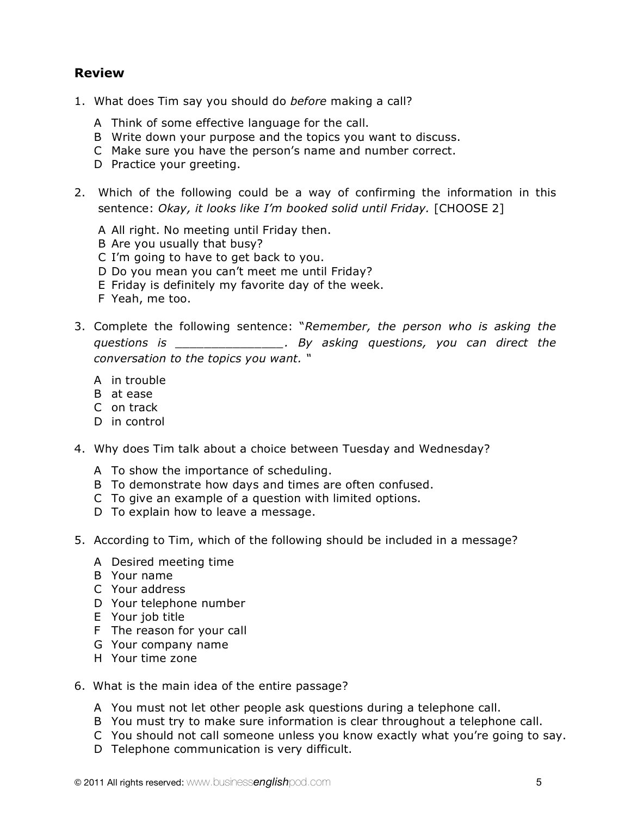# **Review**

- 1. What does Tim say you should do *before* making a call?
	- A Think of some effective language for the call.
	- B Write down your purpose and the topics you want to discuss.
	- C Make sure you have the person's name and number correct.
	- D Practice your greeting.
- 2. Which of the following could be a way of confirming the information in this sentence: *Okay, it looks like I'm booked solid until Friday.* [CHOOSE 2]
	- A All right. No meeting until Friday then.
	- B Are you usually that busy?
	- C I'm going to have to get back to you.
	- D Do you mean you can't meet me until Friday?
	- E Friday is definitely my favorite day of the week.
	- F Yeah, me too.
- 3. Complete the following sentence: "*Remember, the person who is asking the questions is \_\_\_\_\_\_\_\_\_\_\_\_\_\_\_. By asking questions, you can direct the conversation to the topics you want. "*
	- A in trouble
	- B at ease
	- C on track
	- D in control
- 4. Why does Tim talk about a choice between Tuesday and Wednesday?
	- A To show the importance of scheduling.
	- B To demonstrate how days and times are often confused.
	- C To give an example of a question with limited options.
	- D To explain how to leave a message.
- 5. According to Tim, which of the following should be included in a message?
	- A Desired meeting time
	- B Your name
	- C Your address
	- D Your telephone number
	- E Your job title
	- F The reason for your call
	- G Your company name
	- H Your time zone
- 6. What is the main idea of the entire passage?
	- A You must not let other people ask questions during a telephone call.
	- B You must try to make sure information is clear throughout a telephone call.
	- C You should not call someone unless you know exactly what you're going to say.
	- D Telephone communication is very difficult.